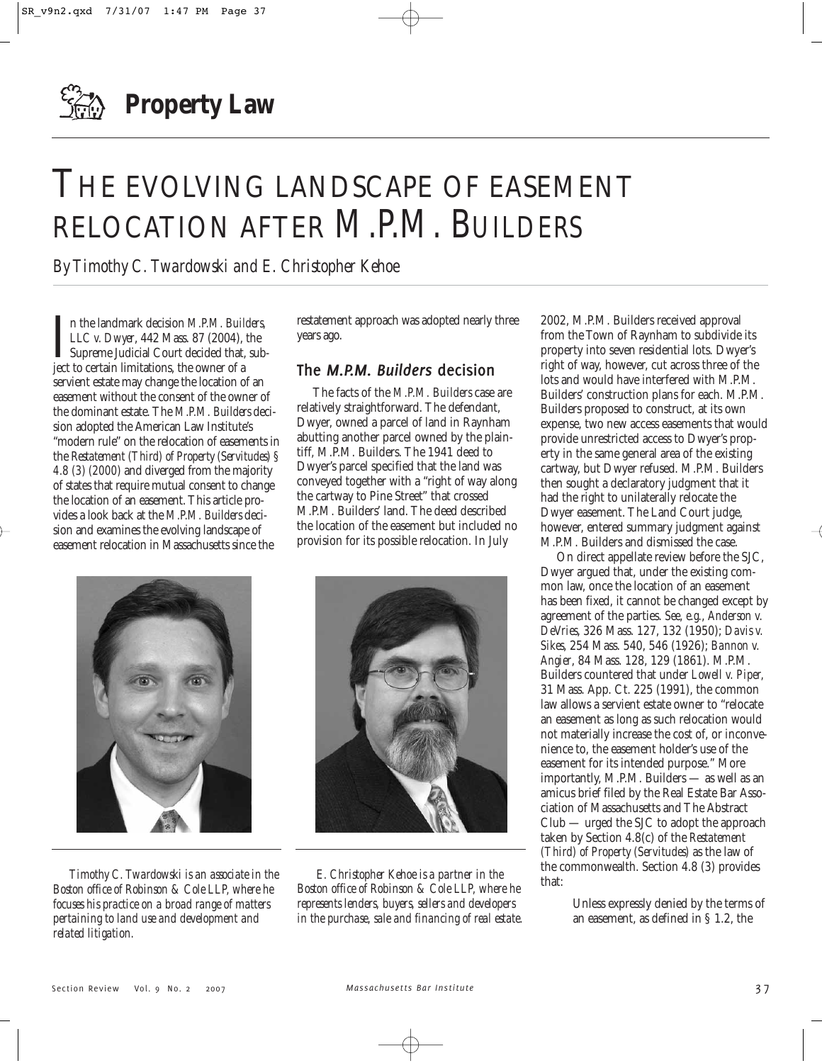

# THE EVOLVING LANDSCAPE OF EASEMENT RELOCATION AFTER *M.P.M. BUILDERS*

*By Timothy C. Twardowski and E. Christopher Kehoe*

In the landmark decision *M.P.M. Build LLC v. Dwyer*, 442 Mass. 87 (2004), Supreme Judicial Court decided that, ject to certain limitations, the owner of a n the landmark decision *M.P.M. Builders, LLC v. Dwyer*, 442 Mass. 87 (2004), the Supreme Judicial Court decided that, subservient estate may change the location of an easement without the consent of the owner of the dominant estate. The *M.P.M. Builders* decision adopted the American Law Institute's "modern rule" on the relocation of easements in the *Restatement (Third) of Property (Servitudes) § 4.8 (3) (2000)* and diverged from the majority of states that require mutual consent to change the location of an easement. This article provides a look back at the *M.P.M. Builders* decision and examines the evolving landscape of easement relocation in Massachusetts since the

restatement approach was adopted nearly three years ago.

## **The** *M.P.M. Builders* **decision**

The facts of the *M.P.M. Builders* case are relatively straightforward. The defendant, Dwyer, owned a parcel of land in Raynham abutting another parcel owned by the plaintiff, M.P.M. Builders. The 1941 deed to Dwyer's parcel specified that the land was conveyed together with a "right of way along the cartway to Pine Street" that crossed M.P.M. Builders' land. The deed described the location of the easement but included no provision for its possible relocation. In July



*Timothy C. Twardowski is an associate in the Boston office of Robinson & Cole LLP, where he focuses his practice on a broad range of matters pertaining to land use and development and related litigation.* 



*E. Christopher Kehoe is a partner in the Boston office of Robinson & Cole LLP, where he represents lenders, buyers, sellers and developers in the purchase, sale and financing of real estate.* 

2002, M.P.M. Builders received approval from the Town of Raynham to subdivide its property into seven residential lots. Dwyer's right of way, however, cut across three of the lots and would have interfered with M.P.M. Builders' construction plans for each. M.P.M. Builders proposed to construct, at its own expense, two new access easements that would provide unrestricted access to Dwyer's property in the same general area of the existing cartway, but Dwyer refused. M.P.M. Builders then sought a declaratory judgment that it had the right to unilaterally relocate the Dwyer easement. The Land Court judge, however, entered summary judgment against M.P.M. Builders and dismissed the case.

On direct appellate review before the SJC, Dwyer argued that, under the existing common law, once the location of an easement has been fixed, it cannot be changed except by agreement of the parties. *See*, *e.g.*, *Anderson v. DeVries*, 326 Mass. 127, 132 (1950); *Davis v. Sikes*, 254 Mass. 540, 546 (1926); *Bannon v. Angier*, 84 Mass. 128, 129 (1861). M.P.M. Builders countered that under *Lowell v. Piper,* 31 Mass. App. Ct. 225 (1991), the common law allows a servient estate owner to "relocate an easement as long as such relocation would not materially increase the cost of, or inconvenience to, the easement holder's use of the easement for its intended purpose." More importantly, M.P.M. Builders — as well as an amicus brief filed by the Real Estate Bar Association of Massachusetts and The Abstract Club — urged the SJC to adopt the approach taken by Section 4.8(c) of the *Restatement (Third) of Property (Servitudes)* as the law of the commonwealth. Section 4.8 (3) provides that:

> Unless expressly denied by the terms of an easement, as defined in § 1.2, the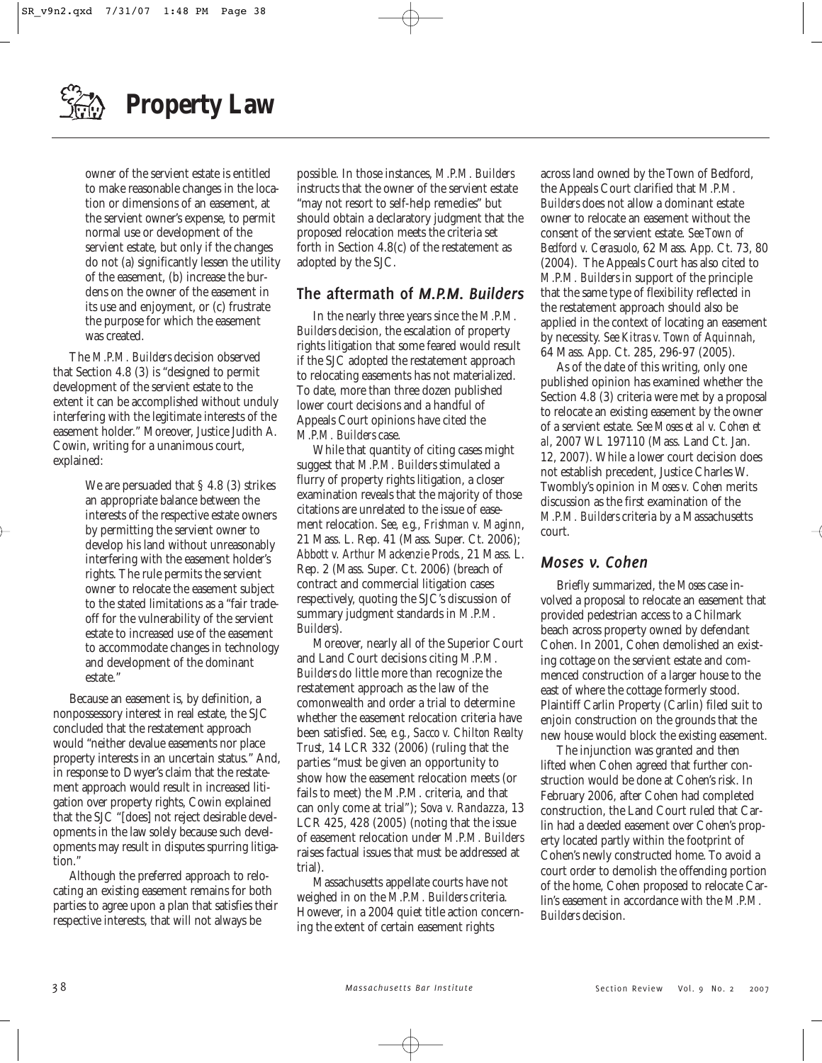

owner of the servient estate is entitled to make reasonable changes in the location or dimensions of an easement, at the servient owner's expense, to permit normal use or development of the servient estate, but only if the changes do not (a) significantly lessen the utility of the easement, (b) increase the burdens on the owner of the easement in its use and enjoyment, or (c) frustrate the purpose for which the easement was created.

The *M.P.M. Builders* decision observed that Section 4.8 (3) is "designed to permit development of the servient estate to the extent it can be accomplished without unduly interfering with the legitimate interests of the easement holder." Moreover, Justice Judith A. Cowin, writing for a unanimous court, explained:

> We are persuaded that § 4.8 (3) strikes an appropriate balance between the interests of the respective estate owners by permitting the servient owner to develop his land without unreasonably interfering with the easement holder's rights. The rule permits the servient owner to relocate the easement subject to the stated limitations as a "fair tradeoff for the vulnerability of the servient estate to increased use of the easement to accommodate changes in technology and development of the dominant estate."

Because an easement is, by definition, a nonpossessory interest in real estate, the SJC concluded that the restatement approach would "neither devalue easements nor place property interests in an uncertain status." And, in response to Dwyer's claim that the restatement approach would result in increased litigation over property rights, Cowin explained that the SJC "[does] not reject desirable developments in the law solely because such developments may result in disputes spurring litigation."

Although the preferred approach to relocating an existing easement remains for both parties to agree upon a plan that satisfies their respective interests, that will not always be

possible. In those instances, *M.P.M. Builders* instructs that the owner of the servient estate "may not resort to self-help remedies" but should obtain a declaratory judgment that the proposed relocation meets the criteria set forth in Section 4.8(c) of the restatement as adopted by the SJC.

# **The aftermath of** *M.P.M. Builders*

In the nearly three years since the *M.P.M. Builders* decision, the escalation of property rights litigation that some feared would result if the SJC adopted the restatement approach to relocating easements has not materialized. To date, more than three dozen published lower court decisions and a handful of Appeals Court opinions have cited the *M.P.M. Builders* case.

While that quantity of citing cases might suggest that *M.P.M. Builders* stimulated a flurry of property rights litigation, a closer examination reveals that the majority of those citations are unrelated to the issue of easement relocation. *See, e.g., Frishman v. Maginn*, 21 Mass. L. Rep. 41 (Mass. Super. Ct. 2006); *Abbott v. Arthur Mackenzie Prods.*, 21 Mass. L. Rep. 2 (Mass. Super. Ct. 2006) (breach of contract and commercial litigation cases respectively, quoting the SJC's discussion of summary judgment standards in *M.P.M. Builders*).

Moreover, nearly all of the Superior Court and Land Court decisions citing *M.P.M. Builders* do little more than recognize the restatement approach as the law of the comonwealth and order a trial to determine whether the easement relocation criteria have been satisfied. *See, e.g.*, *Sacco v. Chilton Realty Trust*, 14 LCR 332 (2006) (ruling that the parties "must be given an opportunity to show how the easement relocation meets (or fails to meet) the M.P.M. criteria, and that can only come at trial"); *Sova v. Randazza*, 13 LCR 425, 428 (2005) (noting that the issue of easement relocation under *M.P.M. Builders* raises factual issues that must be addressed at trial).

Massachusetts appellate courts have not weighed in on the *M.P.M. Builders* criteria. However, in a 2004 quiet title action concerning the extent of certain easement rights

across land owned by the Town of Bedford, the Appeals Court clarified that *M.P.M. Builders* does not allow a dominant estate owner to relocate an easement without the consent of the servient estate. *See Town of Bedford v. Cerasuolo*, 62 Mass. App. Ct. 73, 80 (2004). The Appeals Court has also cited to *M.P.M. Builders* in support of the principle that the same type of flexibility reflected in the restatement approach should also be applied in the context of locating an easement by necessity. *See Kitras v. Town of Aquinnah*, 64 Mass. App. Ct. 285, 296-97 (2005).

As of the date of this writing, only one published opinion has examined whether the Section 4.8 (3) criteria were met by a proposal to relocate an existing easement by the owner of a servient estate. *See Moses et al v. Cohen et al*, 2007 WL 197110 (Mass. Land Ct. Jan. 12, 2007). While a lower court decision does not establish precedent, Justice Charles W. Twombly's opinion in *Moses v. Cohen* merits discussion as the first examination of the *M.P.M. Builders* criteria by a Massachusetts court.

### *Moses v. Cohen*

Briefly summarized, the *Moses* case involved a proposal to relocate an easement that provided pedestrian access to a Chilmark beach across property owned by defendant Cohen. In 2001, Cohen demolished an existing cottage on the servient estate and commenced construction of a larger house to the east of where the cottage formerly stood. Plaintiff Carlin Property (Carlin) filed suit to enjoin construction on the grounds that the new house would block the existing easement.

The injunction was granted and then lifted when Cohen agreed that further construction would be done at Cohen's risk. In February 2006, after Cohen had completed construction, the Land Court ruled that Carlin had a deeded easement over Cohen's property located partly within the footprint of Cohen's newly constructed home. To avoid a court order to demolish the offending portion of the home, Cohen proposed to relocate Carlin's easement in accordance with the *M.P.M. Builders* decision.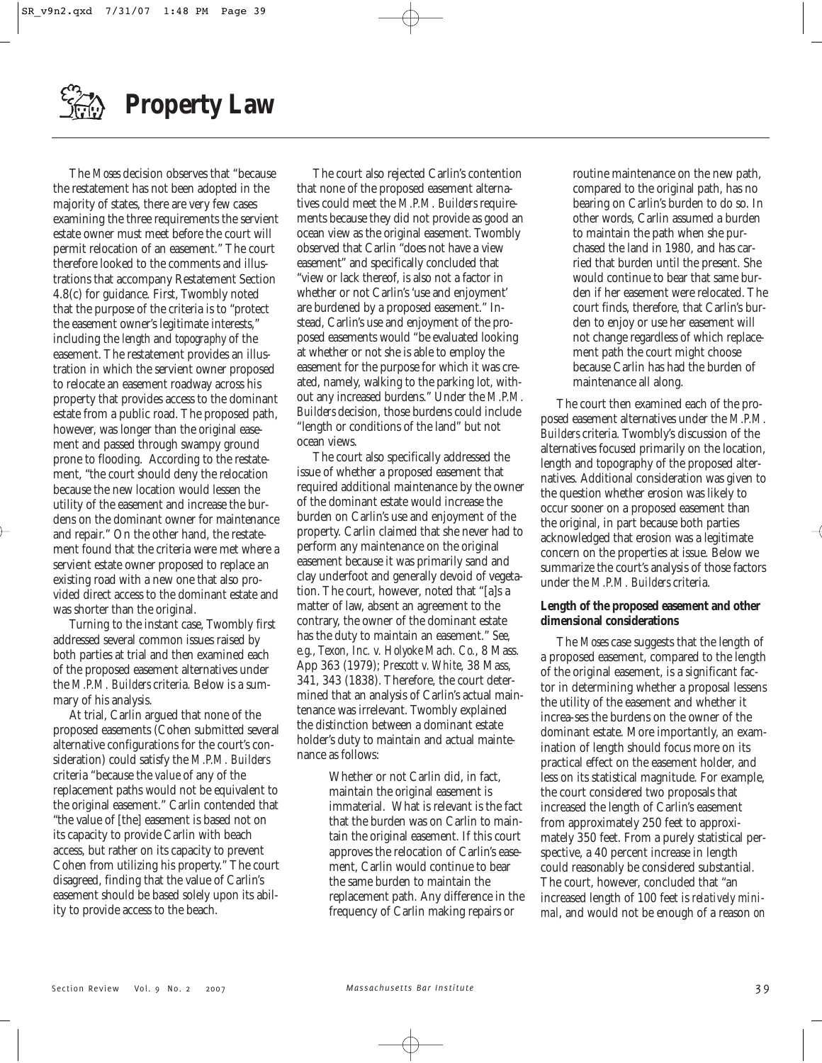**Property Law**

The *Moses* decision observes that "because the restatement has not been adopted in the majority of states, there are very few cases examining the three requirements the servient estate owner must meet before the court will permit relocation of an easement." The court therefore looked to the comments and illustrations that accompany Restatement Section 4.8(c) for guidance. First, Twombly noted that the purpose of the criteria is to "protect the easement owner's legitimate interests," including the *length* and *topography* of the easement. The restatement provides an illustration in which the servient owner proposed to relocate an easement roadway across his property that provides access to the dominant estate from a public road. The proposed path, however, was longer than the original easement and passed through swampy ground prone to flooding. According to the restatement, "the court should deny the relocation because the new location would lessen the utility of the easement and increase the burdens on the dominant owner for maintenance and repair." On the other hand, the restatement found that the criteria were met where a servient estate owner proposed to replace an existing road with a new one that also provided direct access to the dominant estate and was shorter than the original.

Turning to the instant case, Twombly first addressed several common issues raised by both parties at trial and then examined each of the proposed easement alternatives under the *M.P.M. Builders* criteria. Below is a summary of his analysis.

At trial, Carlin argued that none of the proposed easements (Cohen submitted several alternative configurations for the court's consideration) could satisfy the *M.P.M. Builders* criteria "because the *value* of any of the replacement paths would not be equivalent to the original easement." Carlin contended that "the value of [the] easement is based not on its capacity to provide Carlin with beach access, but rather on its capacity to prevent Cohen from utilizing his property." The court disagreed, finding that the value of Carlin's easement should be based solely upon its ability to provide access to the beach.

The court also rejected Carlin's contention that none of the proposed easement alternatives could meet the *M.P.M. Builders* requirements because they did not provide as good an ocean view as the original easement. Twombly observed that Carlin "does not have a view easement" and specifically concluded that "view or lack thereof, is also not a factor in whether or not Carlin's 'use and enjoyment' are burdened by a proposed easement." Instead, Carlin's use and enjoyment of the proposed easements would "be evaluated looking at whether or not she is able to employ the easement for the purpose for which it was created, namely, walking to the parking lot, without any increased burdens." Under the *M.P.M. Builders* decision, those burdens could include "length or conditions of the land" but not ocean views.

The court also specifically addressed the issue of whether a proposed easement that required additional maintenance by the owner of the dominant estate would increase the burden on Carlin's use and enjoyment of the property. Carlin claimed that she never had to perform any maintenance on the original easement because it was primarily sand and clay underfoot and generally devoid of vegetation. The court, however, noted that "[a]s a matter of law, absent an agreement to the contrary, the owner of the dominant estate has the duty to maintain an easement." *See, e.g., Texon, Inc. v. Holyoke Mach. Co.*, 8 Mass. App 363 (1979); *Prescott v. White*, 38 Mass, 341, 343 (1838). Therefore, the court determined that an analysis of Carlin's actual maintenance was irrelevant. Twombly explained the distinction between a dominant estate holder's duty to maintain and actual maintenance as follows:

> Whether or not Carlin did, in fact, maintain the original easement is immaterial. What is relevant is the fact that the burden was on Carlin to maintain the original easement. If this court approves the relocation of Carlin's easement, Carlin would continue to bear the same burden to maintain the replacement path. Any difference in the frequency of Carlin making repairs or

routine maintenance on the new path, compared to the original path, has no bearing on Carlin's burden to do so. In other words, Carlin assumed a burden to maintain the path when she purchased the land in 1980, and has carried that burden until the present. She would continue to bear that same burden if her easement were relocated. The court finds, therefore, that Carlin's burden to enjoy or use her easement will not change regardless of which replacement path the court might choose because Carlin has had the burden of maintenance all along.

The court then examined each of the proposed easement alternatives under the *M.P.M. Builders* criteria. Twombly's discussion of the alternatives focused primarily on the location, length and topography of the proposed alternatives. Additional consideration was given to the question whether erosion was likely to occur sooner on a proposed easement than the original, in part because both parties acknowledged that erosion was a legitimate concern on the properties at issue. Below we summarize the court's analysis of those factors under the *M.P.M. Builders* criteria.

#### **Length of the proposed easement and other dimensional considerations**

The *Moses* case suggests that the length of a proposed easement, compared to the length of the original easement, is a significant factor in determining whether a proposal lessens the utility of the easement and whether it increa-ses the burdens on the owner of the dominant estate. More importantly, an examination of length should focus more on its practical effect on the easement holder, and less on its statistical magnitude. For example, the court considered two proposals that increased the length of Carlin's easement from approximately 250 feet to approximately 350 feet. From a purely statistical perspective, a 40 percent increase in length could reasonably be considered substantial. The court, however, concluded that "an increased length of 100 feet is *relatively minimal*, and would not be enough of a reason *on*